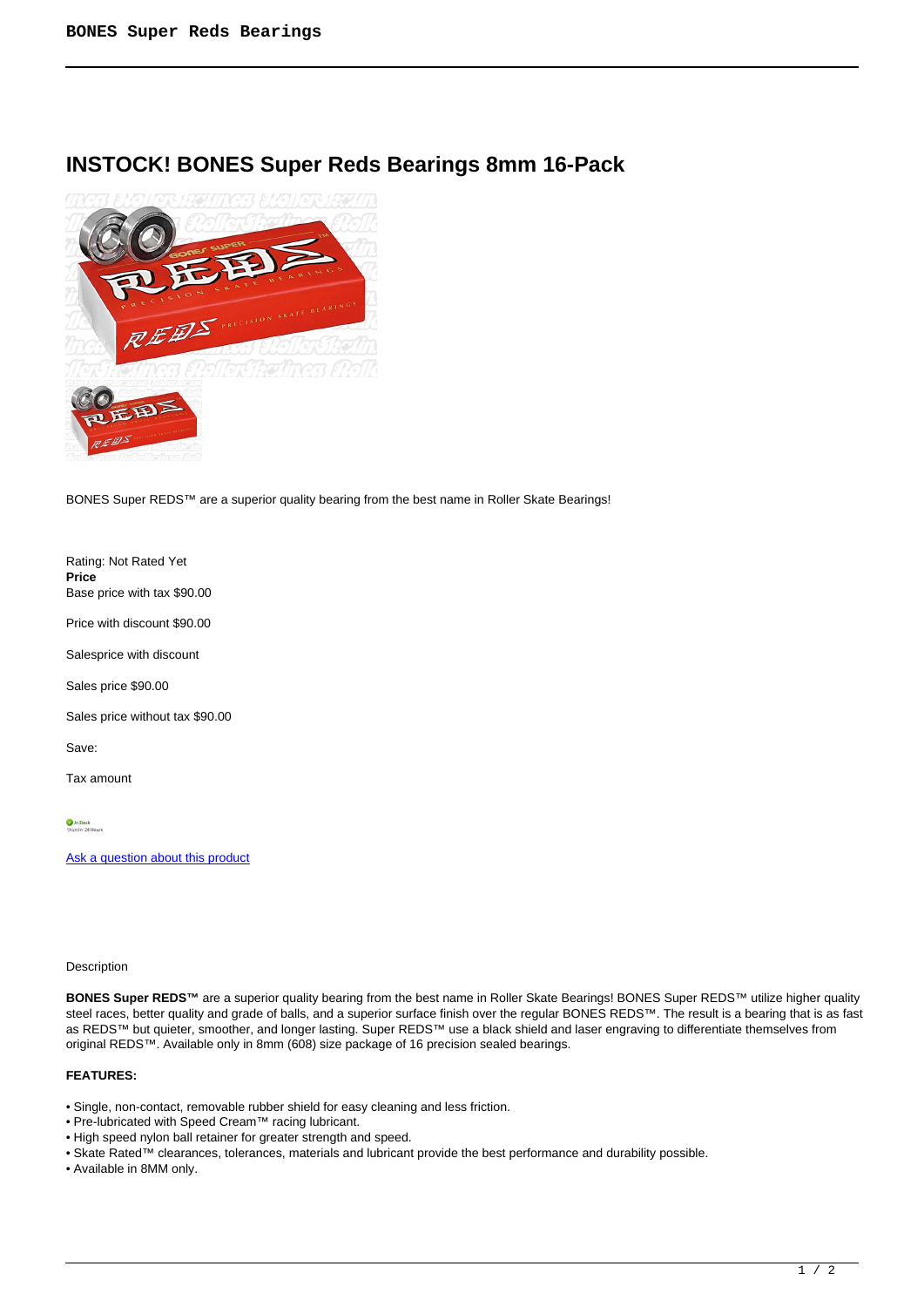## **INSTOCK! BONES Super Reds Bearings 8mm 16-Pack**



BONES Super REDS™ are a superior quality bearing from the best name in Roller Skate Bearings!

Rating: Not Rated Yet **Price**  Base price with tax \$90.00

Price with discount \$90.00

Salesprice with discount

Sales price \$90.00

Sales price without tax \$90.00

Save:

Tax amount

In Stock<br>Shins In: 24 Ho

[Ask a question about this product](https://rollerskatin.ca/index.php?option=com_virtuemart&view=productdetails&task=askquestion&virtuemart_product_id=822&virtuemart_category_id=31&tmpl=component)

## Description

**BONES Super REDS™** are a superior quality bearing from the best name in Roller Skate Bearings! BONES Super REDS™ utilize higher quality steel races, better quality and grade of balls, and a superior surface finish over the regular BONES REDS™. The result is a bearing that is as fast as REDS™ but quieter, smoother, and longer lasting. Super REDS™ use a black shield and laser engraving to differentiate themselves from original REDS™. Available only in 8mm (608) size package of 16 precision sealed bearings.

## **FEATURES:**

- Single, non-contact, removable rubber shield for easy cleaning and less friction.
- Pre-lubricated with Speed Cream™ racing lubricant.
- High speed nylon ball retainer for greater strength and speed.
- Skate Rated™ clearances, tolerances, materials and lubricant provide the best performance and durability possible.
- Available in 8MM only.